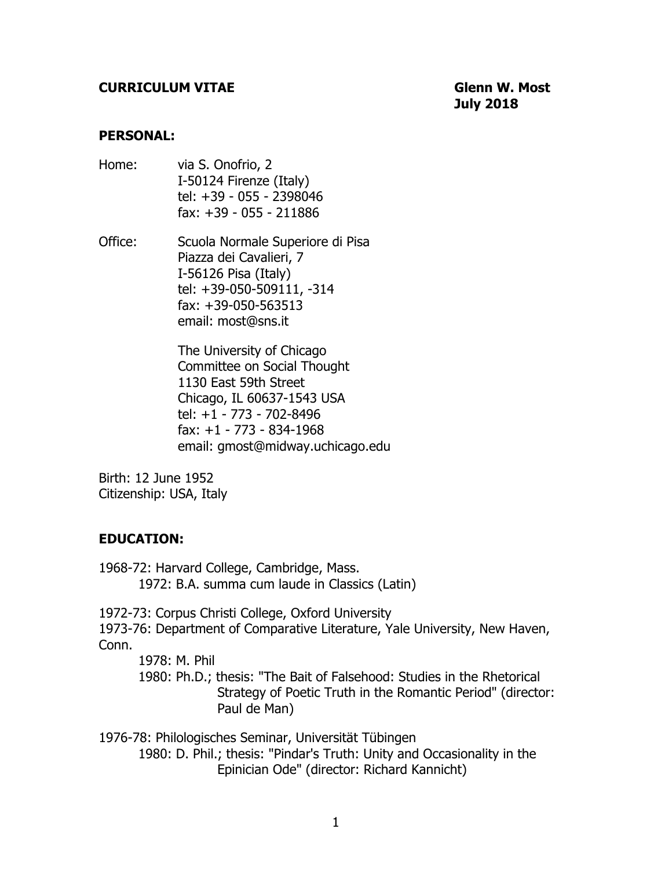#### **CURRICULUM VITAE Glenn W. Most**

**July 2018**

#### **PERSONAL:**

- Home: via S. Onofrio, 2 I-50124 Firenze (Italy) tel: +39 - 055 - 2398046 fax: +39 - 055 - 211886
- Office: Scuola Normale Superiore di Pisa Piazza dei Cavalieri, 7 I-56126 Pisa (Italy) tel: +39-050-509111, -314 fax: +39-050-563513 email: most@sns.it

 The University of Chicago Committee on Social Thought 1130 East 59th Street Chicago, IL 60637-1543 USA tel: +1 - 773 - 702-8496 fax: +1 - 773 - 834-1968 email: gmost@midway.uchicago.edu

Birth: 12 June 1952 Citizenship: USA, Italy

#### **EDUCATION:**

1968-72: Harvard College, Cambridge, Mass. 1972: B.A. summa cum laude in Classics (Latin)

1972-73: Corpus Christi College, Oxford University 1973-76: Department of Comparative Literature, Yale University, New Haven, Conn.

1978: M. Phil

1980: Ph.D.; thesis: "The Bait of Falsehood: Studies in the Rhetorical Strategy of Poetic Truth in the Romantic Period" (director: Paul de Man)

1976-78: Philologisches Seminar, Universität Tübingen 1980: D. Phil.; thesis: "Pindar's Truth: Unity and Occasionality in the Epinician Ode" (director: Richard Kannicht)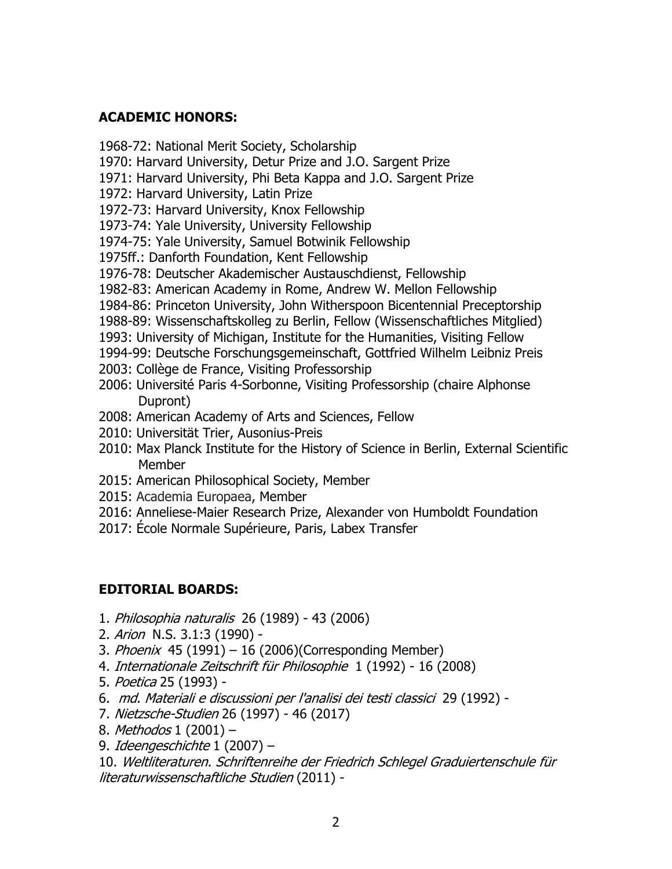### **ACADEMIC HONORS:**

1968-72: National Merit Society, Scholarship

- 1970: Harvard University, Detur Prize and J.O. Sargent Prize
- 1971: Harvard University, Phi Beta Kappa and J.O. Sargent Prize
- 1972: Harvard University, Latin Prize
- 1972-73: Harvard University, Knox Fellowship
- 1973-74: Yale University, University Fellowship
- 1974-75: Yale University, Samuel Botwinik Fellowship
- 1975ff.: Danforth Foundation, Kent Fellowship
- 1976-78: Deutscher Akademischer Austauschdienst, Fellowship
- 1982-83: American Academy in Rome, Andrew W. Mellon Fellowship
- 1984-86: Princeton University, John Witherspoon Bicentennial Preceptorship
- 1988-89: Wissenschaftskolleg zu Berlin, Fellow (Wissenschaftliches Mitglied)
- 1993: University of Michigan, Institute for the Humanities, Visiting Fellow
- 1994-99: Deutsche Forschungsgemeinschaft, Gottfried Wilhelm Leibniz Preis
- 2003: Collège de France, Visiting Professorship
- 2006: Université Paris 4-Sorbonne, Visiting Professorship (chaire Alphonse Dupront)
- 2008: American Academy of Arts and Sciences, Fellow
- 2010: Universität Trier, Ausonius-Preis
- 2010: Max Planck Institute for the History of Science in Berlin, External Scientific Member
- 2015: American Philosophical Society, Member
- 2015: Academia Europaea, Member
- 2016: Anneliese-Maier Research Prize, Alexander von Humboldt Foundation
- 2017: École Normale Supérieure, Paris, Labex Transfer

# **EDITORIAL BOARDS:**

- 1. Philosophia naturalis 26 (1989) 43 (2006)
- 2. Arion N.S. 3.1:3 (1990) -
- 3. Phoenix 45 (1991) 16 (2006)(Corresponding Member)
- 4. Internationale Zeitschrift für Philosophie 1 (1992) 16 (2008)
- 5. Poetica 25 (1993) -
- 6. md. Materiali e discussioni per l'analisi dei testi classici 29 (1992) -
- 7. Nietzsche-Studien 26 (1997) 46 (2017)
- 8. Methodos 1 (2001) -
- 9. Ideengeschichte 1 (2007) –

10. Weltliteraturen. Schriftenreihe der Friedrich Schlegel Graduiertenschule für literaturwissenschaftliche Studien (2011) -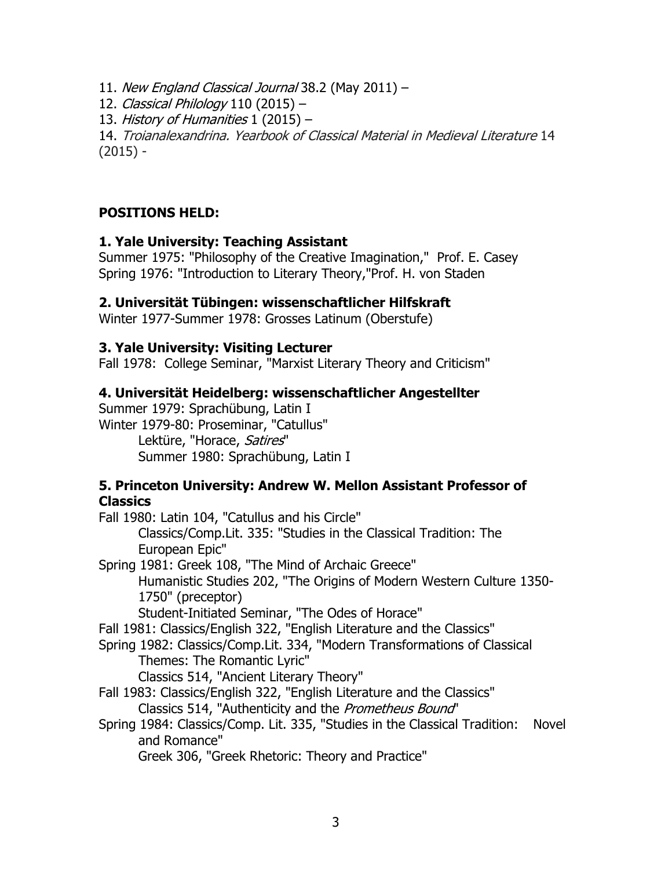11. New England Classical Journal 38.2 (May 2011) –

12. Classical Philology 110 (2015) –

13. History of Humanities  $1(2015)$  -

14. Troianalexandrina. Yearbook of Classical Material in Medieval Literature 14  $(2015) -$ 

## **POSITIONS HELD:**

#### **1. Yale University: Teaching Assistant**

Summer 1975: "Philosophy of the Creative Imagination," Prof. E. Casey Spring 1976: "Introduction to Literary Theory,"Prof. H. von Staden

### **2. Universität Tübingen: wissenschaftlicher Hilfskraft**

Winter 1977-Summer 1978: Grosses Latinum (Oberstufe)

#### **3. Yale University: Visiting Lecturer**

Fall 1978: College Seminar, "Marxist Literary Theory and Criticism"

#### **4. Universität Heidelberg: wissenschaftlicher Angestellter**

Summer 1979: Sprachübung, Latin I Winter 1979-80: Proseminar, "Catullus" Lektüre, "Horace, Satires" Summer 1980: Sprachübung, Latin I

#### **5. Princeton University: Andrew W. Mellon Assistant Professor of Classics**

Fall 1980: Latin 104, "Catullus and his Circle" Classics/Comp.Lit. 335: "Studies in the Classical Tradition: The European Epic"

Spring 1981: Greek 108, "The Mind of Archaic Greece" Humanistic Studies 202, "The Origins of Modern Western Culture 1350- 1750" (preceptor)

Student-Initiated Seminar, "The Odes of Horace"

Fall 1981: Classics/English 322, "English Literature and the Classics"

Spring 1982: Classics/Comp.Lit. 334, "Modern Transformations of Classical Themes: The Romantic Lyric"

Classics 514, "Ancient Literary Theory"

- Fall 1983: Classics/English 322, "English Literature and the Classics" Classics 514, "Authenticity and the Prometheus Bound"
- Spring 1984: Classics/Comp. Lit. 335, "Studies in the Classical Tradition: Novel and Romance"

Greek 306, "Greek Rhetoric: Theory and Practice"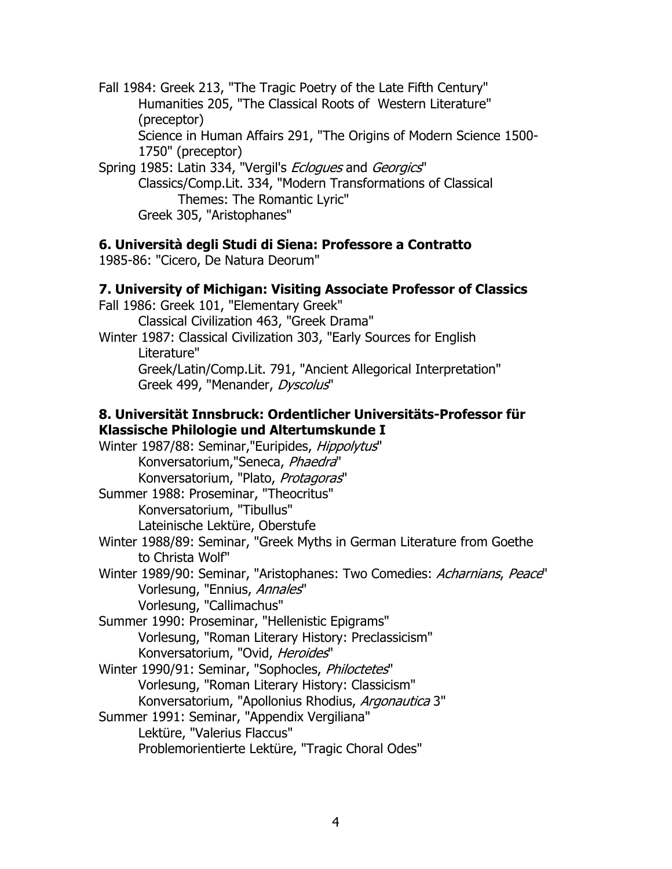Fall 1984: Greek 213, "The Tragic Poetry of the Late Fifth Century" Humanities 205, "The Classical Roots of Western Literature" (preceptor) Science in Human Affairs 291, "The Origins of Modern Science 1500- 1750" (preceptor)

Spring 1985: Latin 334, "Vergil's Eclogues and Georgics" Classics/Comp.Lit. 334, "Modern Transformations of Classical Themes: The Romantic Lyric" Greek 305, "Aristophanes"

#### **6. Università degli Studi di Siena: Professore a Contratto**

1985-86: "Cicero, De Natura Deorum"

#### **7. University of Michigan: Visiting Associate Professor of Classics**

Fall 1986: Greek 101, "Elementary Greek" Classical Civilization 463, "Greek Drama" Winter 1987: Classical Civilization 303, "Early Sources for English Literature" Greek/Latin/Comp.Lit. 791, "Ancient Allegorical Interpretation" Greek 499, "Menander, Dyscolus"

#### **8. Universität Innsbruck: Ordentlicher Universitäts-Professor für Klassische Philologie und Altertumskunde I**

Winter 1987/88: Seminar, "Euripides, Hippolytus" Konversatorium,"Seneca, Phaedra" Konversatorium, "Plato, Protagoras" Summer 1988: Proseminar, "Theocritus" Konversatorium, "Tibullus" Lateinische Lektüre, Oberstufe Winter 1988/89: Seminar, "Greek Myths in German Literature from Goethe to Christa Wolf" Winter 1989/90: Seminar, "Aristophanes: Two Comedies: Acharnians, Peace" Vorlesung, "Ennius, Annales" Vorlesung, "Callimachus" Summer 1990: Proseminar, "Hellenistic Epigrams" Vorlesung, "Roman Literary History: Preclassicism" Konversatorium, "Ovid, Heroides" Winter 1990/91: Seminar, "Sophocles, Philoctetes" Vorlesung, "Roman Literary History: Classicism" Konversatorium, "Apollonius Rhodius, Argonautica 3" Summer 1991: Seminar, "Appendix Vergiliana" Lektüre, "Valerius Flaccus" Problemorientierte Lektüre, "Tragic Choral Odes"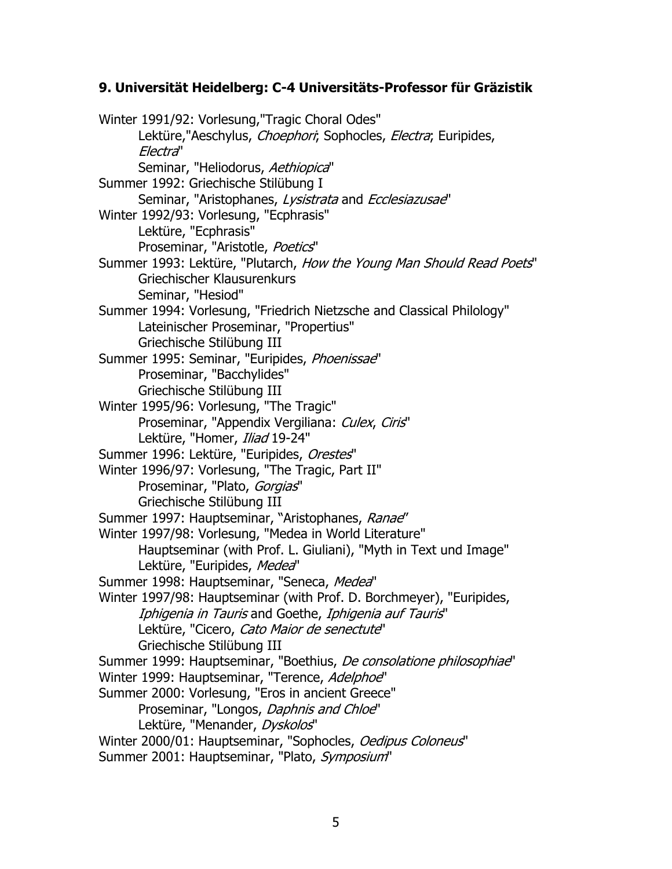#### **9. Universität Heidelberg: C-4 Universitäts-Professor für Gräzistik**

Winter 1991/92: Vorlesung,"Tragic Choral Odes" Lektüre,"Aeschylus, Choephori; Sophocles, Electra; Euripides, Electra" Seminar, "Heliodorus, Aethiopica" Summer 1992: Griechische Stilübung I Seminar, "Aristophanes, Lysistrata and Ecclesiazusae" Winter 1992/93: Vorlesung, "Ecphrasis" Lektüre, "Ecphrasis" Proseminar, "Aristotle, Poetics" Summer 1993: Lektüre, "Plutarch, How the Young Man Should Read Poets" Griechischer Klausurenkurs Seminar, "Hesiod" Summer 1994: Vorlesung, "Friedrich Nietzsche and Classical Philology" Lateinischer Proseminar, "Propertius" Griechische Stilübung III Summer 1995: Seminar, "Euripides, Phoenissae" Proseminar, "Bacchylides" Griechische Stilübung III Winter 1995/96: Vorlesung, "The Tragic" Proseminar, "Appendix Vergiliana: Culex, Ciris" Lektüre, "Homer, Iliad 19-24" Summer 1996: Lektüre, "Euripides, Orestes" Winter 1996/97: Vorlesung, "The Tragic, Part II" Proseminar, "Plato, Gorgias" Griechische Stilübung III Summer 1997: Hauptseminar, "Aristophanes, Ranae" Winter 1997/98: Vorlesung, "Medea in World Literature" Hauptseminar (with Prof. L. Giuliani), "Myth in Text und Image" Lektüre, "Euripides, Medea" Summer 1998: Hauptseminar, "Seneca, Medea" Winter 1997/98: Hauptseminar (with Prof. D. Borchmeyer), "Euripides, Iphigenia in Tauris and Goethe, Iphigenia auf Tauris" Lektüre, "Cicero, Cato Maior de senectute" Griechische Stilübung III Summer 1999: Hauptseminar, "Boethius, De consolatione philosophiae" Winter 1999: Hauptseminar, "Terence, Adelphoe" Summer 2000: Vorlesung, "Eros in ancient Greece" Proseminar, "Longos, Daphnis and Chloe" Lektüre, "Menander, Dyskolos" Winter 2000/01: Hauptseminar, "Sophocles, Oedipus Coloneus" Summer 2001: Hauptseminar, "Plato, Symposium"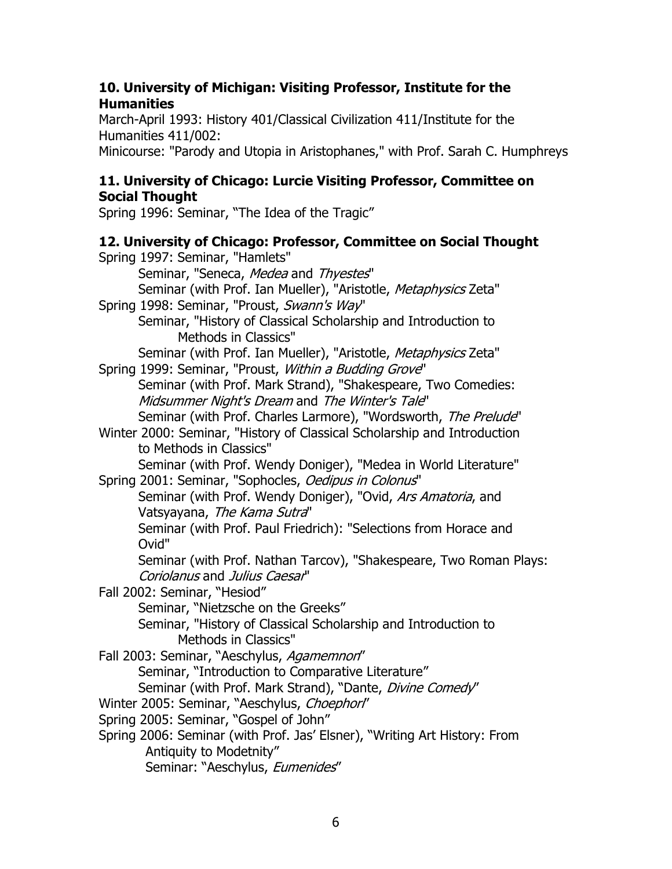#### **10. University of Michigan: Visiting Professor, Institute for the Humanities**

March-April 1993: History 401/Classical Civilization 411/Institute for the Humanities 411/002:

Minicourse: "Parody and Utopia in Aristophanes," with Prof. Sarah C. Humphreys

## **11. University of Chicago: Lurcie Visiting Professor, Committee on Social Thought**

Spring 1996: Seminar, "The Idea of the Tragic"

# **12. University of Chicago: Professor, Committee on Social Thought**

Spring 1997: Seminar, "Hamlets" Seminar, "Seneca, Medea and Thyestes" Seminar (with Prof. Ian Mueller), "Aristotle, Metaphysics Zeta" Spring 1998: Seminar, "Proust, Swann's Way" Seminar, "History of Classical Scholarship and Introduction to Methods in Classics" Seminar (with Prof. Ian Mueller), "Aristotle, Metaphysics Zeta" Spring 1999: Seminar, "Proust, Within a Budding Grove" Seminar (with Prof. Mark Strand), "Shakespeare, Two Comedies: Midsummer Night's Dream and The Winter's Tale" Seminar (with Prof. Charles Larmore), "Wordsworth, The Prelude" Winter 2000: Seminar, "History of Classical Scholarship and Introduction to Methods in Classics" Seminar (with Prof. Wendy Doniger), "Medea in World Literature" Spring 2001: Seminar, "Sophocles, Oedipus in Colonus" Seminar (with Prof. Wendy Doniger), "Ovid, Ars Amatoria, and Vatsyayana, The Kama Sutra" Seminar (with Prof. Paul Friedrich): "Selections from Horace and Ovid" Seminar (with Prof. Nathan Tarcov), "Shakespeare, Two Roman Plays: Coriolanus and Julius Caesar" Fall 2002: Seminar, "Hesiod" Seminar, "Nietzsche on the Greeks" Seminar, "History of Classical Scholarship and Introduction to Methods in Classics" Fall 2003: Seminar, "Aeschylus, Agamemnon" Seminar, "Introduction to Comparative Literature" Seminar (with Prof. Mark Strand), "Dante, Divine Comedy" Winter 2005: Seminar, "Aeschylus, Choephor!" Spring 2005: Seminar, "Gospel of John" Spring 2006: Seminar (with Prof. Jas' Elsner), "Writing Art History: From Antiquity to Modetnity" Seminar: "Aeschylus, Eumenides"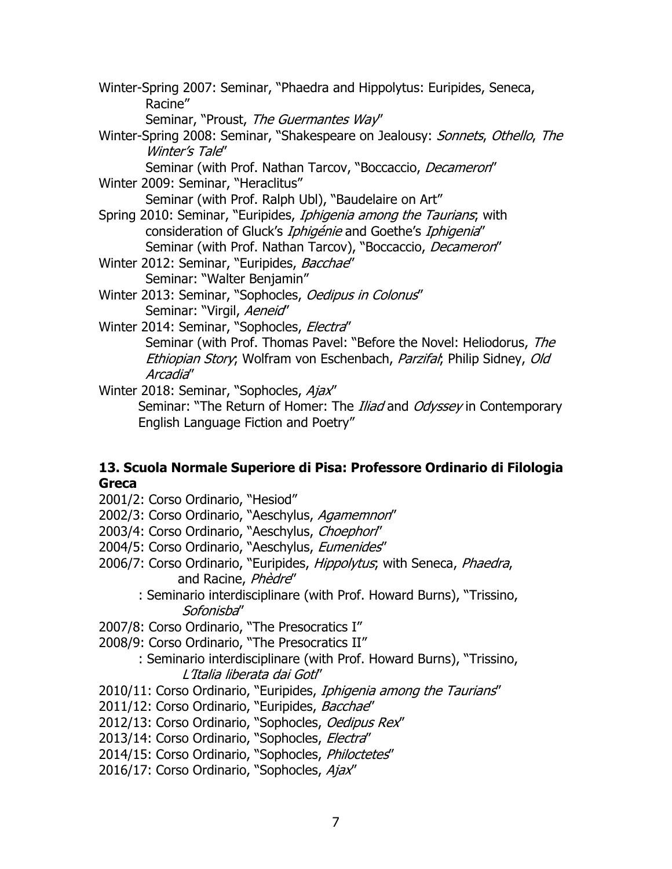- Winter-Spring 2007: Seminar, "Phaedra and Hippolytus: Euripides, Seneca, Racine"
	- Seminar, "Proust, The Guermantes Way"
- Winter-Spring 2008: Seminar, "Shakespeare on Jealousy: Sonnets, Othello, The Winter's Tale"
	- Seminar (with Prof. Nathan Tarcov, "Boccaccio, Decameron"
- Winter 2009: Seminar, "Heraclitus"

Seminar (with Prof. Ralph Ubl), "Baudelaire on Art"

- Spring 2010: Seminar, "Euripides, Iphigenia among the Taurians; with consideration of Gluck's *Iphigénie* and Goethe's *Iphigenia*" Seminar (with Prof. Nathan Tarcov), "Boccaccio, Decameron"
- Winter 2012: Seminar, "Euripides, Bacchae" Seminar: "Walter Benjamin"
- Winter 2013: Seminar, "Sophocles, Oedipus in Colonus" Seminar: "Virgil, Aeneid"
- Winter 2014: Seminar, "Sophocles, Electra" Seminar (with Prof. Thomas Pavel: "Before the Novel: Heliodorus, The Ethiopian Story; Wolfram von Eschenbach, Parzifal; Philip Sidney, Old Arcadia"

Winter 2018: Seminar, "Sophocles, Ajax" Seminar: "The Return of Homer: The *Iliad* and Odyssey in Contemporary English Language Fiction and Poetry"

#### **13. Scuola Normale Superiore di Pisa: Professore Ordinario di Filologia Greca**

- 2001/2: Corso Ordinario, "Hesiod"
- 2002/3: Corso Ordinario, "Aeschylus, Agamemnon"
- 2003/4: Corso Ordinario, "Aeschylus, Choephorl"
- 2004/5: Corso Ordinario, "Aeschylus, Eumenides"
- 2006/7: Corso Ordinario, "Euripides, Hippolytus, with Seneca, Phaedra, and Racine, Phèdre"
	- : Seminario interdisciplinare (with Prof. Howard Burns), "Trissino, Sofonisba"

2007/8: Corso Ordinario, "The Presocratics I"

- 2008/9: Corso Ordinario, "The Presocratics II"
	- : Seminario interdisciplinare (with Prof. Howard Burns), "Trissino, L'Italia liberata dai Goti"
- 2010/11: Corso Ordinario, "Euripides, Iphigenia among the Taurians"
- 2011/12: Corso Ordinario, "Euripides, Bacchae"
- 2012/13: Corso Ordinario, "Sophocles, Oedipus Rex"
- 2013/14: Corso Ordinario, "Sophocles, Electra"
- 2014/15: Corso Ordinario, "Sophocles, Philoctetes"
- 2016/17: Corso Ordinario, "Sophocles, Ajax"